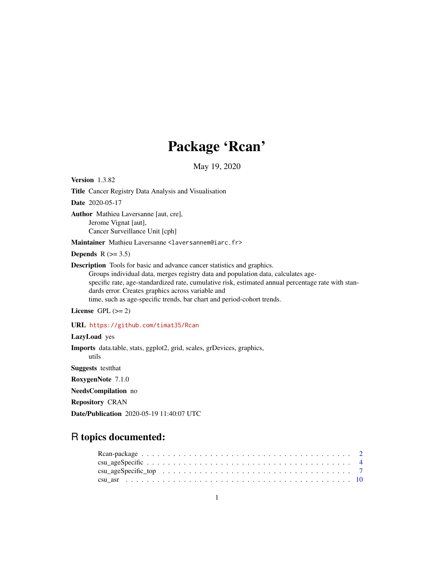# Package 'Rcan'

May 19, 2020

<span id="page-0-0"></span>Version 1.3.82 Title Cancer Registry Data Analysis and Visualisation Date 2020-05-17 Author Mathieu Laversanne [aut, cre], Jerome Vignat [aut], Cancer Surveillance Unit [cph] Maintainer Mathieu Laversanne <laversannem@iarc.fr> Depends  $R$  ( $>= 3.5$ ) Description Tools for basic and advance cancer statistics and graphics. Groups individual data, merges registry data and population data, calculates agespecific rate, age-standardized rate, cumulative risk, estimated annual percentage rate with standards error. Creates graphics across variable and time, such as age-specific trends, bar chart and period-cohort trends. License GPL  $(>= 2)$ URL <https://github.com/timat35/Rcan> LazyLoad yes Imports data.table, stats, ggplot2, grid, scales, grDevices, graphics, utils NeedsCompilation no

Suggests testthat

RoxygenNote 7.1.0

Repository CRAN

Date/Publication 2020-05-19 11:40:07 UTC

# R topics documented: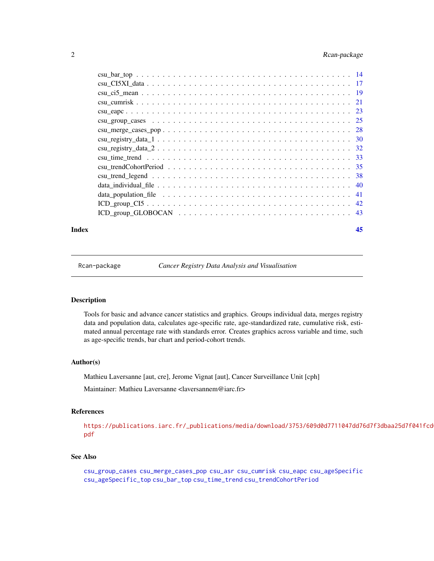# <span id="page-1-0"></span>2 Rcan-package

#### **Index** [45](#page-44-0)

Rcan-package *Cancer Registry Data Analysis and Visualisation*

# Description

Tools for basic and advance cancer statistics and graphics. Groups individual data, merges registry data and population data, calculates age-specific rate, age-standardized rate, cumulative risk, estimated annual percentage rate with standards error. Creates graphics across variable and time, such as age-specific trends, bar chart and period-cohort trends.

#### Author(s)

Mathieu Laversanne [aut, cre], Jerome Vignat [aut], Cancer Surveillance Unit [cph]

Maintainer: Mathieu Laversanne <laversannem@iarc.fr>

#### References

[https://publications.iarc.fr/\\_publications/media/download/3753/609d0d7711047dd76](https://publications.iarc.fr/_publications/media/download/3753/609d0d7711047dd76d7f3dbaa25d7f041fcd013e.pdf)d7f3dbaa25d7f041fcd [pdf](https://publications.iarc.fr/_publications/media/download/3753/609d0d7711047dd76d7f3dbaa25d7f041fcd013e.pdf)

# See Also

```
csu_group_cases csu_merge_cases_pop csu_asr csu_cumrisk csu_eapc csu_ageSpecific
csu_ageSpecific_top csu_bar_top csu_time_trend csu_trendCohortPeriod
```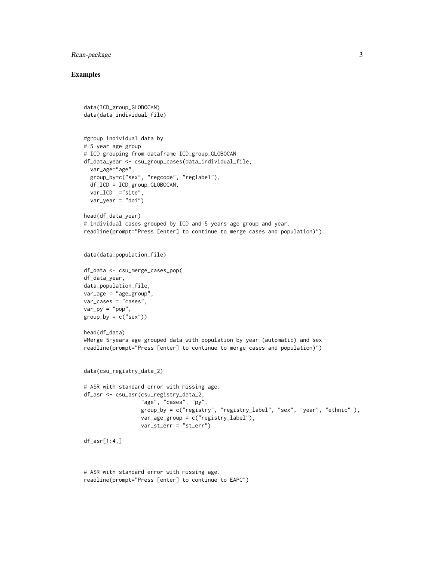# Rcan-package 3

```
data(ICD_group_GLOBOCAN)
data(data_individual_file)
#group individual data by
# 5 year age group
# ICD grouping from dataframe ICD_group_GLOBOCAN
df_data_year <- csu_group_cases(data_individual_file,
  var_age="age",
  group_by=c("sex", "regcode", "reglabel"),
  df_ICD = ICD_group_GLOBOCAN,
  var_ICD = "site",var_year = "doi")
head(df_data_year)
# individual cases grouped by ICD and 5 years age group and year.
readline(prompt="Press [enter] to continue to merge cases and population)")
data(data_population_file)
df_data <- csu_merge_cases_pop(
df_data_year,
data_population_file,
var_age = "age_group",
var_cases = "cases",
var_p y = "pop",group_by = c("sex"))head(df_data)
#Merge 5-years age grouped data with population by year (automatic) and sex
readline(prompt="Press [enter] to continue to merge cases and population)")
data(csu_registry_data_2)
# ASR with standard error with missing age.
df_asr <- csu_asr(csu_registry_data_2,
                  "age", "cases", "py",
                  group_by = c("registry", "registry_label", "sex", "year", "ethnic" ),
                  var_age_group = c("registry_label"),
                  var_st_err = "st_err")
df_asr[1:4,]
# ASR with standard error with missing age.
readline(prompt="Press [enter] to continue to EAPC")
```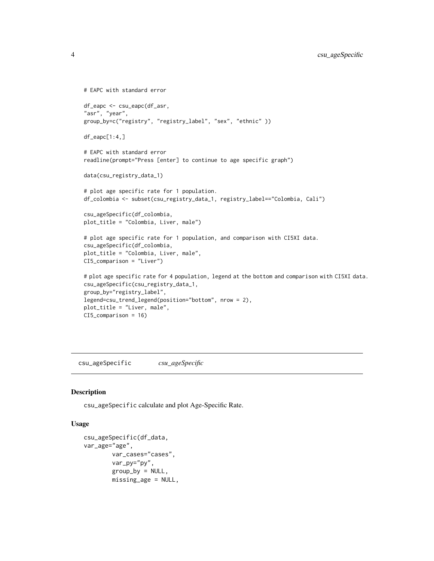```
# EAPC with standard error
df_eapc <- csu_eapc(df_asr,
"asr", "year",
group_by=c("registry", "registry_label", "sex", "ethnic" ))
df_eapc[1:4,]
# EAPC with standard error
readline(prompt="Press [enter] to continue to age specific graph")
data(csu_registry_data_1)
# plot age specific rate for 1 population.
df_colombia <- subset(csu_registry_data_1, registry_label=="Colombia, Cali")
csu_ageSpecific(df_colombia,
plot_title = "Colombia, Liver, male")
# plot age specific rate for 1 population, and comparison with CI5XI data.
csu_ageSpecific(df_colombia,
plot_title = "Colombia, Liver, male",
CI5_comparison = "Liver")
# plot age specific rate for 4 population, legend at the bottom and comparison with CI5XI data.
csu_ageSpecific(csu_registry_data_1,
group_by="registry_label",
legend=csu_trend_legend(position="bottom", nrow = 2),
plot_title = "Liver, male",
CI5_comparison = 16)
```
<span id="page-3-1"></span>csu\_ageSpecific *csu\_ageSpecific*

#### Description

csu\_ageSpecific calculate and plot Age-Specific Rate.

#### Usage

```
csu_ageSpecific(df_data,
var_age="age",
       var_cases="cases",
       var_py="py",
       group_by = NULL,missing_age = NULL,
```
<span id="page-3-0"></span>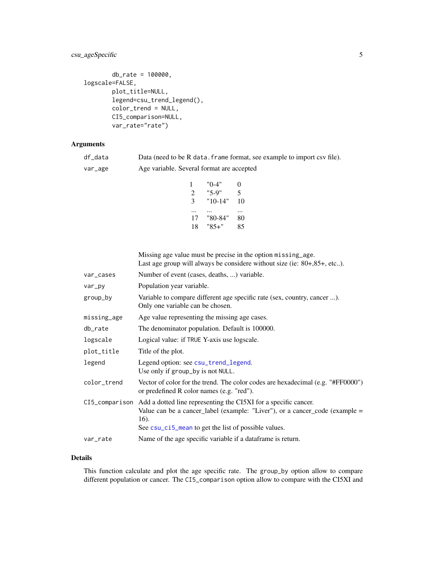# <span id="page-4-0"></span>csu\_ageSpecific 5

```
db_rate = 100000,
logscale=FALSE,
        plot_title=NULL,
        legend=csu_trend_legend(),
        color_trend = NULL,
        CI5_comparison=NULL,
        var_rate="rate")
```
# Arguments

df\_data Data (need to be R data.frame format, see example to import csv file).

var\_age Age variable. Several format are accepted

1 "0-4" 0 2 "5-9" 5 3 "10-14" 10 ... ... ... 17 "80-84" 80 18 "85+" 85

Missing age value must be precise in the option missing\_age. Last age group will always be considere without size (ie: 80+,85+, etc..).

| var_cases   | Number of event (cases, deaths, ) variable.                                                                                                                                                                                     |
|-------------|---------------------------------------------------------------------------------------------------------------------------------------------------------------------------------------------------------------------------------|
| var_py      | Population year variable.                                                                                                                                                                                                       |
| group_by    | Variable to compare different age specific rate (sex, country, cancer ).<br>Only one variable can be chosen.                                                                                                                    |
| missing_age | Age value representing the missing age cases.                                                                                                                                                                                   |
| db_rate     | The denominator population. Default is 100000.                                                                                                                                                                                  |
| logscale    | Logical value: if TRUE Y-axis use logscale.                                                                                                                                                                                     |
| plot_title  | Title of the plot.                                                                                                                                                                                                              |
| legend      | Legend option: see csu_trend_legend.<br>Use only if group_by is not NULL.                                                                                                                                                       |
| color_trend | Vector of color for the trend. The color codes are hexadecimal (e.g. "#FF0000")<br>or predefined R color names (e.g. "red").                                                                                                    |
|             | CI5_comparison Add a dotted line representing the CI5XI for a specific cancer.<br>Value can be a cancer label (example: "Liver"), or a cancer code (example $=$<br>16).<br>See csu_ci5_mean to get the list of possible values. |
| var_rate    | Name of the age specific variable if a dataframe is return.                                                                                                                                                                     |

#### Details

This function calculate and plot the age specific rate. The group\_by option allow to compare different population or cancer. The CI5\_comparison option allow to compare with the CI5XI and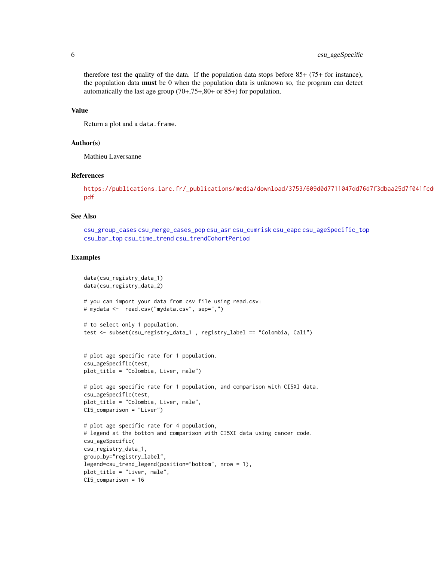therefore test the quality of the data. If the population data stops before 85+ (75+ for instance), the population data **must** be 0 when the population data is unknown so, the program can detect automatically the last age group (70+,75+,80+ or 85+) for population.

#### Value

Return a plot and a data.frame.

#### Author(s)

Mathieu Laversanne

#### References

```
https://publications.iarc.fr/_publications/media/download/3753/609d0d7711047dd76d7f3dbaa25d7f041fcd
pdf
```
# See Also

```
csu_group_cases csu_merge_cases_pop csu_asr csu_cumrisk csu_eapc csu_ageSpecific_top
csu_bar_top csu_time_trend csu_trendCohortPeriod
```

```
data(csu_registry_data_1)
data(csu_registry_data_2)
# you can import your data from csv file using read.csv:
# mydata <- read.csv("mydata.csv", sep=",")
# to select only 1 population.
test <- subset(csu_registry_data_1 , registry_label == "Colombia, Cali")
# plot age specific rate for 1 population.
csu_ageSpecific(test,
plot_title = "Colombia, Liver, male")
# plot age specific rate for 1 population, and comparison with CI5XI data.
csu_ageSpecific(test,
plot_title = "Colombia, Liver, male",
CI5_comparison = "Liver")
# plot age specific rate for 4 population,
# legend at the bottom and comparison with CI5XI data using cancer code.
csu_ageSpecific(
csu_registry_data_1,
group_by="registry_label",
legend=csu_trend_legend(position="bottom", nrow = 1),
plot_title = "Liver, male",
CI5_comparison = 16
```
<span id="page-5-0"></span>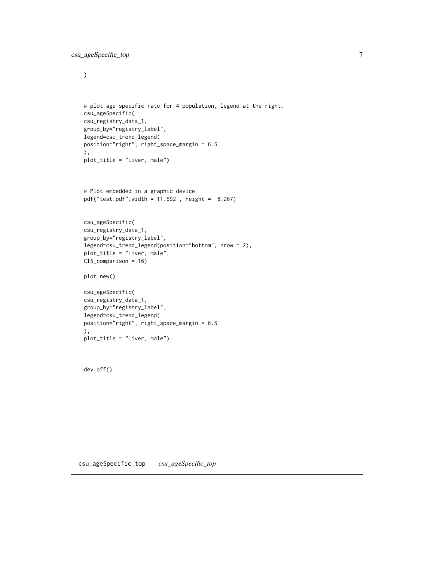<span id="page-6-0"></span> $\mathcal{L}$ 

```
# plot age specific rate for 4 population, legend at the right.
csu_ageSpecific(
csu_registry_data_1,
group_by="registry_label",
legend=csu_trend_legend(
position="right", right_space_margin = 6.5
),
plot_title = "Liver, male")
```

```
# Plot embedded in a graphic device
pdf("test.pdf",width = 11.692 , height = 8.267)
```

```
csu_ageSpecific(
csu_registry_data_1,
group_by="registry_label",
legend=csu_trend_legend(position="bottom", nrow = 2),
plot_title = "Liver, male",
CI5_comparison = 16)
```

```
plot.new()
```

```
csu_ageSpecific(
csu_registry_data_1,
group_by="registry_label",
legend=csu_trend_legend(
position="right", right_space_margin = 6.5
),
plot_title = "Liver, male")
```
<span id="page-6-1"></span>dev.off()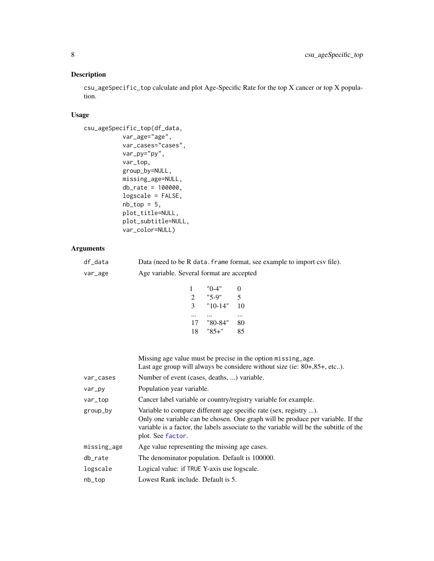# <span id="page-7-0"></span>Description

csu\_ageSpecific\_top calculate and plot Age-Specific Rate for the top X cancer or top X population.

# Usage

```
csu_ageSpecific_top(df_data,
           var_age="age",
           var_cases="cases",
           var_py="py",
           var_top,
           group_by=NULL,
           missing_age=NULL,
           db_rate = 100000,
           logscale = FALSE,
           nb\_top = 5,
           plot_title=NULL,
           plot_subtitle=NULL,
           var_color=NULL)
```
#### Arguments

| df data | Data (need to be R data. frame format, see example to import csv file). |
|---------|-------------------------------------------------------------------------|
| var_age | Age variable. Several format are accepted                               |

```
1 "0-4" 0
2 "5-9" 5
3 "10-14" 10
... ... ...
17 "80-84" 80
18 "85+" 85
```
Missing age value must be precise in the option missing\_age. Last age group will always be considere without size (ie: 80+,85+, etc..).

| var_cases   | Number of event (cases, deaths, ) variable.                                                                                                                                                                                                                         |
|-------------|---------------------------------------------------------------------------------------------------------------------------------------------------------------------------------------------------------------------------------------------------------------------|
| var_py      | Population year variable.                                                                                                                                                                                                                                           |
| var_top     | Cancer label variable or country/registry variable for example.                                                                                                                                                                                                     |
| group_by    | Variable to compare different age specific rate (sex, registry ).<br>Only one variable can be chosen. One graph will be produce per variable. If the<br>variable is a factor, the labels associate to the variable will be the subtitle of the<br>plot. See factor. |
| missing_age | Age value representing the missing age cases.                                                                                                                                                                                                                       |
| db_rate     | The denominator population. Default is 100000.                                                                                                                                                                                                                      |
| logscale    | Logical value: if TRUE Y-axis use logscale.                                                                                                                                                                                                                         |
| $nb\_top$   | Lowest Rank include. Default is 5.                                                                                                                                                                                                                                  |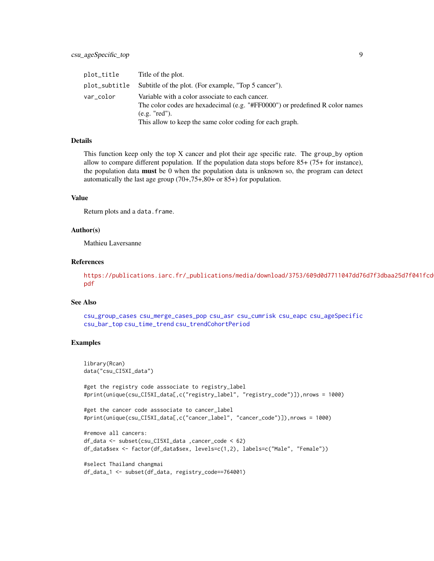<span id="page-8-0"></span>

| plot_title    | Title of the plot.                                                                                                                                                                                           |
|---------------|--------------------------------------------------------------------------------------------------------------------------------------------------------------------------------------------------------------|
| plot_subtitle | Subtitle of the plot. (For example, "Top 5 cancer").                                                                                                                                                         |
| var_color     | Variable with a color associate to each cancer.<br>The color codes are hexadecimal (e.g. "#FF0000") or predefined R color names<br>(e.g. "red").<br>This allow to keep the same color coding for each graph. |

## Details

This function keep only the top X cancer and plot their age specific rate. The group\_by option allow to compare different population. If the population data stops before 85+ (75+ for instance), the population data must be 0 when the population data is unknown so, the program can detect automatically the last age group (70+,75+,80+ or 85+) for population.

#### Value

Return plots and a data.frame.

#### Author(s)

Mathieu Laversanne

# References

[https://publications.iarc.fr/\\_publications/media/download/3753/609d0d7711047dd76](https://publications.iarc.fr/_publications/media/download/3753/609d0d7711047dd76d7f3dbaa25d7f041fcd013e.pdf)d7f3dbaa25d7f041fcd [pdf](https://publications.iarc.fr/_publications/media/download/3753/609d0d7711047dd76d7f3dbaa25d7f041fcd013e.pdf)

#### See Also

```
csu_group_cases csu_merge_cases_pop csu_asr csu_cumrisk csu_eapc csu_ageSpecific
csu_bar_top csu_time_trend csu_trendCohortPeriod
```

```
library(Rcan)
data("csu_CI5XI_data")
#get the registry code asssociate to registry_label
#print(unique(csu_CI5XI_data[,c("registry_label", "registry_code")]),nrows = 1000)
#get the cancer code asssociate to cancer_label
#print(unique(csu_CI5XI_data[,c("cancer_label", "cancer_code")]),nrows = 1000)
#remove all cancers:
df_data <- subset(csu_CI5XI_data ,cancer_code < 62)
df_data$sex <- factor(df_data$sex, levels=c(1,2), labels=c("Male", "Female"))
#select Thailand changmai
df_data_1 <- subset(df_data, registry_code==764001)
```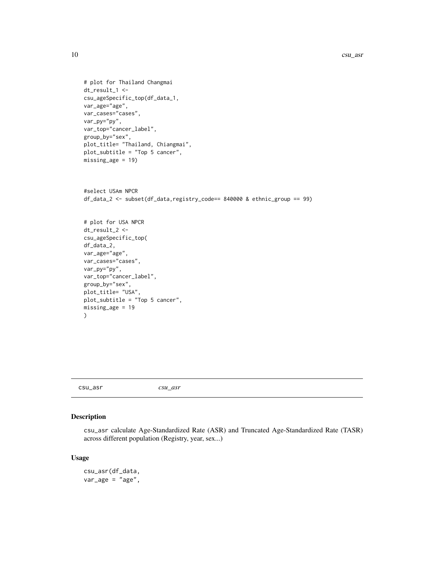```
# plot for Thailand Changmai
dt_result_1 <-
csu_ageSpecific_top(df_data_1,
var_age="age",
var_cases="cases",
var_py="py",
var_top="cancer_label",
group_by="sex",
plot_title= "Thailand, Chiangmai",
plot_subtitle = "Top 5 cancer",
missing_age = 19)
```

```
#select USAm NPCR
df_data_2 <- subset(df_data,registry_code== 840000 & ethnic_group == 99)
# plot for USA NPCR
dt_result_2 <-
csu_ageSpecific_top(
df_data_2,
var_age="age",
var_cases="cases",
var_py="py",
var_top="cancer_label",
group_by="sex",
plot_title= "USA",
plot_subtitle = "Top 5 cancer",
missing_age = 19
\mathcal{L}
```
<span id="page-9-1"></span>csu\_asr *csu\_asr*

# Description

csu\_asr calculate Age-Standardized Rate (ASR) and Truncated Age-Standardized Rate (TASR) across different population (Registry, year, sex...)

#### Usage

csu\_asr(df\_data,  $var_{age}$  = "age",

<span id="page-9-0"></span>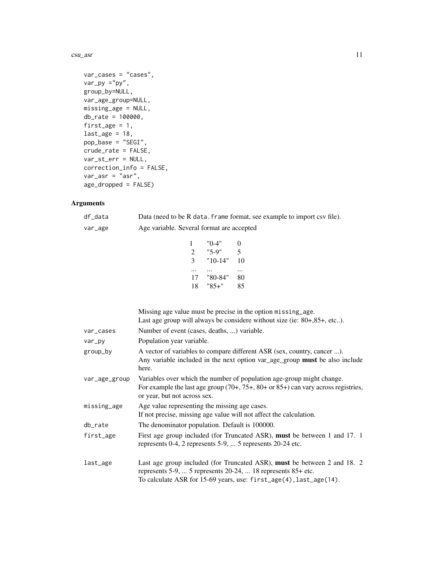#### csu\_asr 11

```
var_cases = "cases",
var_p y = "py",group_by=NULL,
var_age_group=NULL,
missing_age = NULL,
db_rate = 100000,
first_age = 1,
last_age = 18,pop_base = "SEGI",
crude_rate = FALSE,
var_st_err = NULL,
correction_info = FALSE,
var_asr = "asr",
age_dropped = FALSE)
```
# Arguments

| df_data | Data (need to be R data. frame format, see example to import csv file). |
|---------|-------------------------------------------------------------------------|
| var_age | Age variable. Several format are accepted                               |

|    | "0-4"   | $_{0}$ |
|----|---------|--------|
| 2  | "5-9"   | 5      |
| 3  | "10-14" | 10     |
|    |         |        |
| 17 | "80-84" | 80     |
| 18 | "85+"   | 85     |
|    |         |        |

|               | Missing age value must be precise in the option missing_age.<br>Last age group will always be considere without size (ie: $80+,85+,$ etc).                                                                              |
|---------------|-------------------------------------------------------------------------------------------------------------------------------------------------------------------------------------------------------------------------|
| var_cases     | Number of event (cases, deaths, ) variable.                                                                                                                                                                             |
| var_py        | Population year variable.                                                                                                                                                                                               |
| group_by      | A vector of variables to compare different ASR (sex, country, cancer ).<br>Any variable included in the next option var_age_group must be also include<br>here.                                                         |
| var_age_group | Variables over which the number of population age-group might change.<br>For example the last age group $(70+, 75+, 80+$ or $85+)$ can vary across registries,<br>or year, but not across sex.                          |
| missing_age   | Age value representing the missing age cases.<br>If not precise, missing age value will not affect the calculation.                                                                                                     |
| db_rate       | The denominator population. Default is 100000.                                                                                                                                                                          |
| first_age     | First age group included (for Truncated ASR), <b>must</b> be between 1 and 17. 1<br>represents 0-4, 2 represents 5-9,  5 represents 20-24 etc.                                                                          |
| last_age      | Last age group included (for Truncated ASR), <b>must</b> be between 2 and 18. 2<br>represents 5-9,  5 represents 20-24,  18 represents $85+$ etc.<br>To calculate ASR for 15-69 years, use: first_age(4), last_age(14). |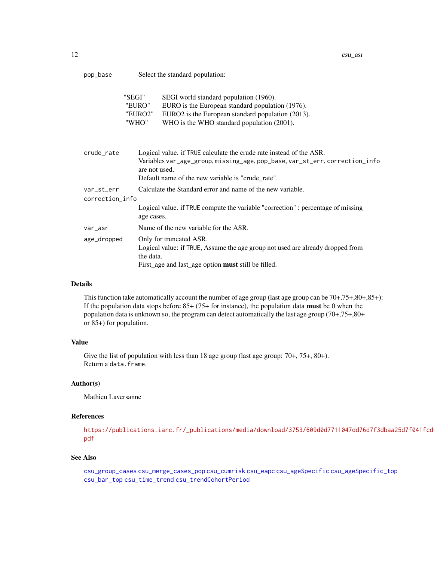<span id="page-11-0"></span>

| pop_base | Select the standard population: |  |
|----------|---------------------------------|--|
|----------|---------------------------------|--|

|                 | "SEGI"<br>"EURO"<br>"EURO2"<br>"WHO" | SEGI world standard population (1960).<br>EURO is the European standard population (1976).<br>EURO2 is the European standard population (2013).<br>WHO is the WHO standard population (2001).                            |  |  |
|-----------------|--------------------------------------|--------------------------------------------------------------------------------------------------------------------------------------------------------------------------------------------------------------------------|--|--|
| crude_rate      |                                      | Logical value. if TRUE calculate the crude rate instead of the ASR.<br>Variables var_age_group, missing_age, pop_base, var_st_err, correction_info<br>are not used.<br>Default name of the new variable is "crude rate". |  |  |
| var_st_err      |                                      | Calculate the Standard error and name of the new variable.                                                                                                                                                               |  |  |
| correction_info |                                      |                                                                                                                                                                                                                          |  |  |
|                 | age cases.                           | Logical value. if TRUE compute the variable "correction": percentage of missing                                                                                                                                          |  |  |
| var_asr         |                                      | Name of the new variable for the ASR.                                                                                                                                                                                    |  |  |
| age_dropped     |                                      | Only for truncated ASR.                                                                                                                                                                                                  |  |  |

Logical value: if TRUE, Assume the age group not used are already dropped from the data.

First\_age and last\_age option must still be filled.

# Details

This function take automatically account the number of age group (last age group can be  $70+,75+,80+,85+)$ : If the population data stops before  $85+ (75+$  for instance), the population data **must** be 0 when the population data is unknown so, the program can detect automatically the last age group (70+,75+,80+ or 85+) for population.

# Value

Give the list of population with less than 18 age group (last age group: 70+, 75+, 80+). Return a data.frame.

#### Author(s)

Mathieu Laversanne

# References

[https://publications.iarc.fr/\\_publications/media/download/3753/609d0d7711047dd76](https://publications.iarc.fr/_publications/media/download/3753/609d0d7711047dd76d7f3dbaa25d7f041fcd013e.pdf)d7f3dbaa25d7f041fcd [pdf](https://publications.iarc.fr/_publications/media/download/3753/609d0d7711047dd76d7f3dbaa25d7f041fcd013e.pdf)

#### See Also

[csu\\_group\\_cases](#page-24-1) [csu\\_merge\\_cases\\_pop](#page-27-1) [csu\\_cumrisk](#page-20-1) [csu\\_eapc](#page-22-1) [csu\\_ageSpecific](#page-3-1) [csu\\_ageSpecific\\_top](#page-6-1) [csu\\_bar\\_top](#page-13-1) [csu\\_time\\_trend](#page-32-1) [csu\\_trendCohortPeriod](#page-34-1)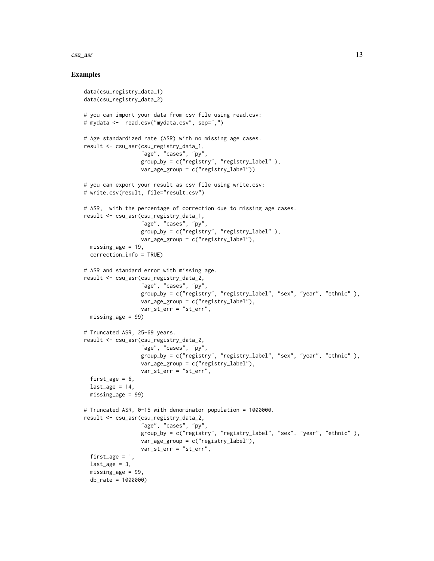#### csu\_asr 13

```
data(csu_registry_data_1)
data(csu_registry_data_2)
# you can import your data from csv file using read.csv:
# mydata <- read.csv("mydata.csv", sep=",")
# Age standardized rate (ASR) with no missing age cases.
result <- csu_asr(csu_registry_data_1,
                  "age", "cases", "py",
                  group_by = c("registry", "registry_label" ),
                  var_age_group = c("registry_label"))
# you can export your result as csv file using write.csv:
# write.csv(result, file="result.csv")
# ASR, with the percentage of correction due to missing age cases.
result <- csu_asr(csu_registry_data_1,
                  "age", "cases", "py",
                  group_by = c("registry", "registry_label" ),
                  var_age_group = c("registry_label"),
  missing_age = 19,
  correction_info = TRUE)
# ASR and standard error with missing age.
result <- csu_asr(csu_registry_data_2,
                  "age", "cases", "py",
                  group_by = c("registry", "registry_label", "sex", "year", "ethnic" ),
                  var_age_group = c("registry_label"),
                  var_st_err = "st_err",
  missing_age = 99)
# Truncated ASR, 25-69 years.
result <- csu_asr(csu_registry_data_2,
                  "age", "cases", "py",
                  group_by = c("registry", "registry_label", "sex", "year", "ethnic" ),
                  var_age_group = c("registry_label"),
                  var_st_err = "st_err",
  first_age = 6,
  last_age = 14,
  missing_age = 99)
# Truncated ASR, 0-15 with denominator population = 1000000.
result <- csu_asr(csu_registry_data_2,
                  "age", "cases", "py",
                  group_by = c("registry", "registry_label", "sex", "year", "ethnic" ),
                  var_age_group = c("registry_label"),
                  var_st_err = "st_err",
  first_age = 1,
  last_age = 3,missing_age = 99,
  db_rate = 1000000)
```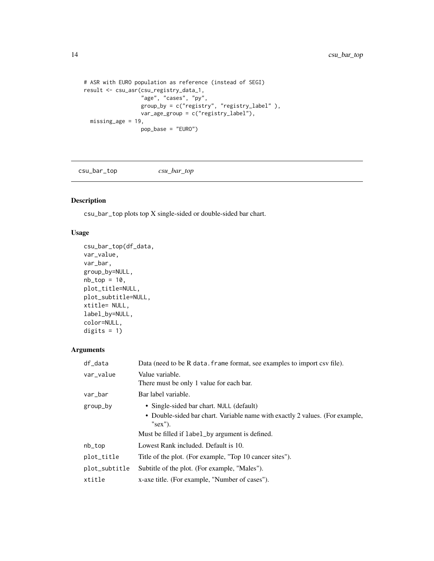```
# ASR with EURO population as reference (instead of SEGI)
result <- csu_asr(csu_registry_data_1,
                  "age", "cases", "py",
                  group_by = c("registry", "registry_label" ),
                  var_age_group = c("registry_label"),
  missing_age = 19,
                  pop_base = "EURO")
```
<span id="page-13-1"></span>csu\_bar\_top *csu\_bar\_top*

# Description

csu\_bar\_top plots top X single-sided or double-sided bar chart.

# Usage

```
csu_bar_top(df_data,
var_value,
var_bar,
group_by=NULL,
nb\_top = 10,
plot_title=NULL,
plot_subtitle=NULL,
xtitle= NULL,
label_by=NULL,
color=NULL,
digits = 1)
```
# Arguments

| df_data       | Data (need to be R data. frame format, see examples to import csv file).                    |
|---------------|---------------------------------------------------------------------------------------------|
| var_value     | Value variable.<br>There must be only 1 value for each bar.                                 |
| var_bar       | Bar label variable.                                                                         |
| group_by      | • Single-sided bar chart. NULL (default)                                                    |
|               | • Double-sided bar chart. Variable name with exactly 2 values. (For example,<br>" $sex$ "). |
|               | Must be filled if label_by argument is defined.                                             |
| nb_top        | Lowest Rank included. Default is 10.                                                        |
| plot_title    | Title of the plot. (For example, "Top 10 cancer sites").                                    |
| plot_subtitle | Subtitle of the plot. (For example, "Males").                                               |
| xtitle        | x-axe title. (For example, "Number of cases").                                              |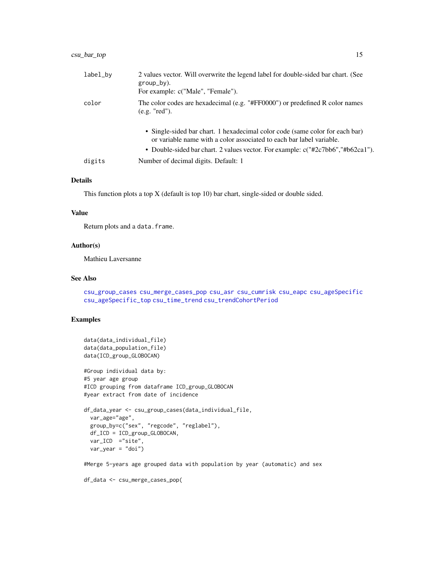<span id="page-14-0"></span>

| label_by | 2 values vector. Will overwrite the legend label for double-sided bar chart. (See<br>$group_by)$ .<br>For example: c("Male", "Female").                                                                                                 |
|----------|-----------------------------------------------------------------------------------------------------------------------------------------------------------------------------------------------------------------------------------------|
| color    | The color codes are hexadecimal (e.g. "#FF0000") or predefined R color names<br>(e.g. "red").                                                                                                                                           |
|          | • Single-sided bar chart. 1 hexadecimal color code (same color for each bar)<br>or variable name with a color associated to each bar label variable.<br>• Double-sided bar chart. 2 values vector. For example: c("#2c7bb6","#b62ca1"). |
| digits   | Number of decimal digits. Default: 1                                                                                                                                                                                                    |

#### Details

This function plots a top X (default is top 10) bar chart, single-sided or double sided.

#### Value

Return plots and a data.frame.

# Author(s)

Mathieu Laversanne

#### See Also

[csu\\_group\\_cases](#page-24-1) [csu\\_merge\\_cases\\_pop](#page-27-1) [csu\\_asr](#page-9-1) [csu\\_cumrisk](#page-20-1) [csu\\_eapc](#page-22-1) [csu\\_ageSpecific](#page-3-1) [csu\\_ageSpecific\\_top](#page-6-1) [csu\\_time\\_trend](#page-32-1) [csu\\_trendCohortPeriod](#page-34-1)

# Examples

```
data(data_individual_file)
data(data_population_file)
data(ICD_group_GLOBOCAN)
#Group individual data by:
#5 year age group
#ICD grouping from dataframe ICD_group_GLOBOCAN
#year extract from date of incidence
df_data_year <- csu_group_cases(data_individual_file,
 var_age="age",
 group_by=c("sex", "regcode", "reglabel"),
 df_ICD = ICD_group_GLOBOCAN,
 var_ICD ="site",
 var_year = "doi")
```
#Merge 5-years age grouped data with population by year (automatic) and sex

```
df_data <- csu_merge_cases_pop(
```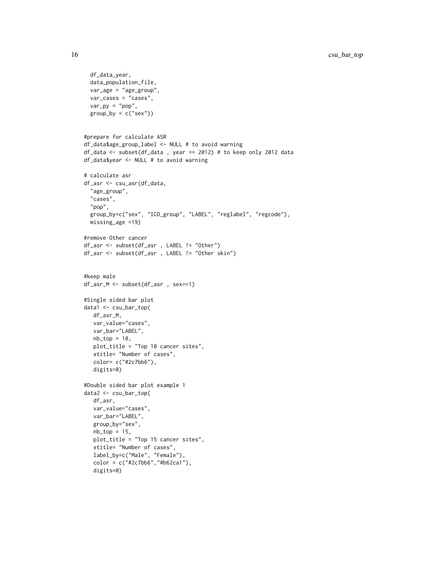```
df_data_year,
  data_population_file,
  var_age = "age_group",
  var_cases = "cases",
  var_p y = "pop",group_by = c("sex"))#prepare for calculate ASR
df_data$age_group_label <- NULL # to avoid warning
df_data <- subset(df_data , year == 2012) # to keep only 2012 data
df_data$year <- NULL # to avoid warning
# calculate asr
df_asr <- csu_asr(df_data,
  "age_group",
  "cases",
  "pop",
  group_by=c("sex", "ICD_group", "LABEL", "reglabel", "regcode"),
  missing_age =19)
#remove Other cancer
df_asr <- subset(df_asr , LABEL != "Other")
df_asr <- subset(df_asr , LABEL != "Other skin")
#keep male
df_asr_M <- subset(df_asr , sex==1)
#Single sided bar plot
data1 <- csu_bar_top(
  df_asr_M,
  var_value="cases",
  var_bar="LABEL",
  nb\_top = 10,
  plot_title = "Top 10 cancer sites",
  xtitle= "Number of cases",
  color= c("#2c7bb6"),
   digits=0)
#Double sided bar plot example 1
data2 <- csu_bar_top(
  df_asr,
  var_value="cases",
  var_bar="LABEL",
   group_by="sex",
  nb\_top = 15,
   plot_title = "Top 15 cancer sites",
  xtitle= "Number of cases",
  label_by=c("Male", "Female"),
   color = c("#2c7bb6", "#b62ca1"),
   digits=0)
```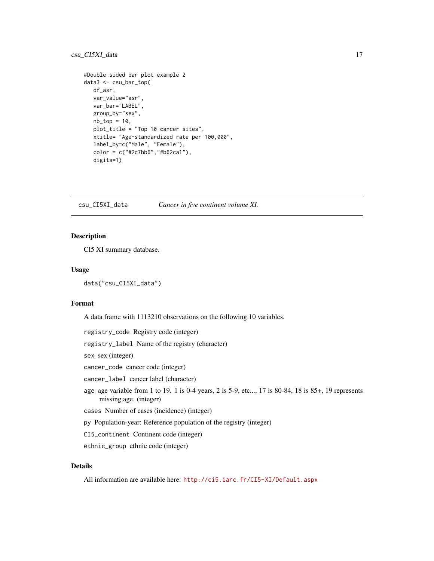# <span id="page-16-0"></span>csu\_CI5XI\_data 17

```
#Double sided bar plot example 2
data3 <- csu_bar_top(
  df_asr,
  var_value="asr",
  var_bar="LABEL",
  group_by="sex",
  nb\_top = 10,
  plot_title = "Top 10 cancer sites",
  xtitle= "Age-standardized rate per 100,000",
  label_by=c("Male", "Female"),
  color = c("#2c7bb6","#b62ca1"),
  digits=1)
```
csu\_CI5XI\_data *Cancer in five continent volume XI.*

#### Description

CI5 XI summary database.

# Usage

```
data("csu_CI5XI_data")
```
# Format

A data frame with 1113210 observations on the following 10 variables.

registry\_code Registry code (integer)

registry\_label Name of the registry (character)

sex sex (integer)

cancer\_code cancer code (integer)

cancer\_label cancer label (character)

- age age variable from 1 to 19. 1 is 0-4 years, 2 is 5-9, etc..., 17 is 80-84, 18 is 85+, 19 represents missing age. (integer)
- cases Number of cases (incidence) (integer)

py Population-year: Reference population of the registry (integer)

CI5\_continent Continent code (integer)

ethnic\_group ethnic code (integer)

# Details

All information are available here: <http://ci5.iarc.fr/CI5-XI/Default.aspx>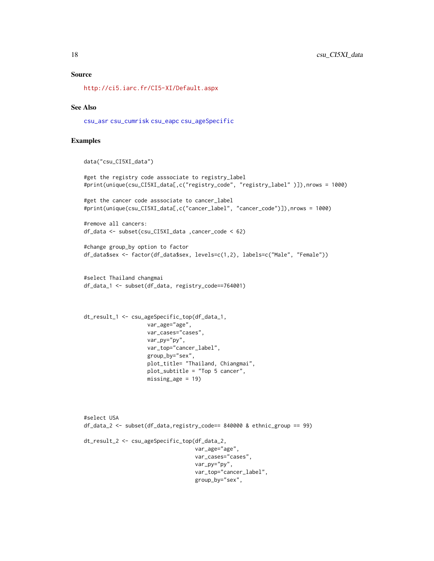#### <span id="page-17-0"></span>Source

<http://ci5.iarc.fr/CI5-XI/Default.aspx>

#### See Also

[csu\\_asr](#page-9-1) [csu\\_cumrisk](#page-20-1) [csu\\_eapc](#page-22-1) [csu\\_ageSpecific](#page-3-1)

```
data("csu_CI5XI_data")
```

```
#get the registry code asssociate to registry_label
#print(unique(csu_CI5XI_data[,c("registry_code", "registry_label" )]),nrows = 1000)
```

```
#get the cancer code asssociate to cancer_label
#print(unique(csu_CI5XI_data[,c("cancer_label", "cancer_code")]),nrows = 1000)
```

```
#remove all cancers:
df_data <- subset(csu_CI5XI_data ,cancer_code < 62)
```

```
#change group_by option to factor
df_data$sex <- factor(df_data$sex, levels=c(1,2), labels=c("Male", "Female"))
```

```
#select Thailand changmai
df_data_1 <- subset(df_data, registry_code==764001)
```

```
dt_result_1 <- csu_ageSpecific_top(df_data_1,
                    var_age="age",
                    var_cases="cases",
                    var_py="py",
                    var_top="cancer_label",
                    group_by="sex",
                    plot_title= "Thailand, Chiangmai",
                    plot_subtitle = "Top 5 cancer",
                    missing_age = 19)
```

```
#select USA
df_data_2 <- subset(df_data,registry_code== 840000 & ethnic_group == 99)
dt_result_2 <- csu_ageSpecific_top(df_data_2,
                                   var_age="age",
                                   var_cases="cases",
                                   var_py="py",
                                   var_top="cancer_label",
                                   group_by="sex",
```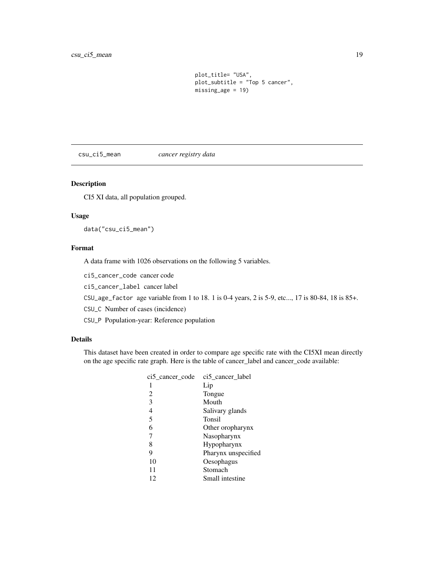plot\_title= "USA", plot\_subtitle = "Top 5 cancer", missing\_age = 19)

<span id="page-18-1"></span><span id="page-18-0"></span>csu\_ci5\_mean *cancer registry data*

### Description

CI5 XI data, all population grouped.

# Usage

data("csu\_ci5\_mean")

# Format

A data frame with 1026 observations on the following 5 variables.

ci5\_cancer\_code cancer code

ci5\_cancer\_label cancer label

CSU\_age\_factor age variable from 1 to 18. 1 is 0-4 years, 2 is 5-9, etc..., 17 is 80-84, 18 is 85+.

CSU\_C Number of cases (incidence)

CSU\_P Population-year: Reference population

# Details

This dataset have been created in order to compare age specific rate with the CI5XI mean directly on the age specific rate graph. Here is the table of cancer\_label and cancer\_code available:

| ci5 cancer code | ci5 cancer label    |
|-----------------|---------------------|
| 1               | Lip                 |
| 2               | Tongue              |
| 3               | Mouth               |
| 4               | Salivary glands     |
| 5               | Tonsil              |
| 6               | Other oropharynx    |
| 7               | Nasopharynx         |
| 8               | Hypopharynx         |
| 9               | Pharynx unspecified |
| 10              | Oesophagus          |
| 11              | Stomach             |
| 12              | Small intestine     |
|                 |                     |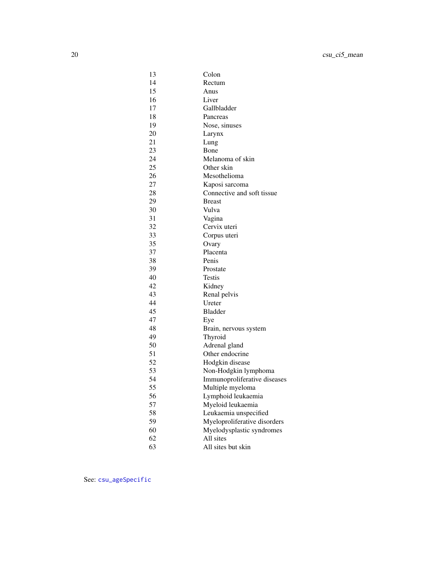<span id="page-19-0"></span>

| 13 | Colon                        |
|----|------------------------------|
| 14 | Rectum                       |
| 15 | Anus                         |
| 16 | Liver                        |
| 17 | Gallbladder                  |
| 18 | Pancreas                     |
| 19 | Nose, sinuses                |
| 20 | Larynx                       |
| 21 | Lung                         |
| 23 | Bone                         |
| 24 | Melanoma of skin             |
| 25 | Other skin                   |
| 26 | Mesothelioma                 |
| 27 | Kaposi sarcoma               |
| 28 | Connective and soft tissue   |
| 29 | <b>Breast</b>                |
| 30 | Vulva                        |
| 31 | Vagina                       |
| 32 | Cervix uteri                 |
| 33 | Corpus uteri                 |
| 35 | Ovary                        |
| 37 | Placenta                     |
| 38 | Penis                        |
| 39 | Prostate                     |
| 40 | <b>Testis</b>                |
| 42 | Kidney                       |
| 43 | Renal pelvis                 |
| 44 | Ureter                       |
| 45 | <b>Bladder</b>               |
| 47 | Eye                          |
| 48 | Brain, nervous system        |
| 49 | Thyroid                      |
| 50 | Adrenal gland                |
| 51 | Other endocrine              |
| 52 | Hodgkin disease              |
| 53 | Non-Hodgkin lymphoma         |
| 54 | Immunoproliferative diseases |
| 55 | Multiple myeloma             |
| 56 | Lymphoid leukaemia           |
| 57 | Myeloid leukaemia            |
| 58 | Leukaemia unspecified        |
| 59 | Myeloproliferative disorders |
| 60 | Myelodysplastic syndromes    |
| 62 | All sites                    |
| 63 | All sites but skin           |

See: [csu\\_ageSpecific](#page-3-1)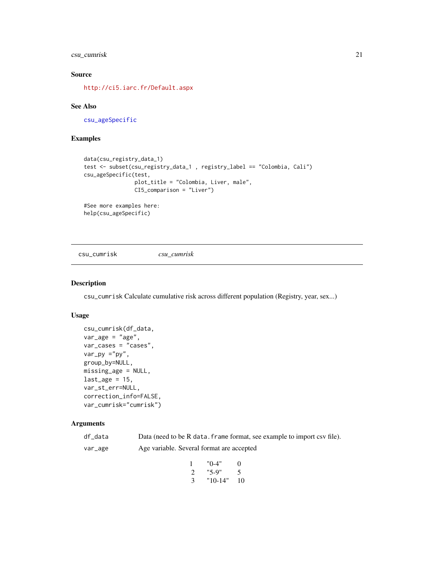# <span id="page-20-0"></span>csu\_cumrisk 21

# Source

<http://ci5.iarc.fr/Default.aspx>

#### See Also

[csu\\_ageSpecific](#page-3-1)

#### Examples

```
data(csu_registry_data_1)
test <- subset(csu_registry_data_1 , registry_label == "Colombia, Cali")
csu_ageSpecific(test,
                plot_title = "Colombia, Liver, male",
                CI5_comparison = "Liver")
```

```
#See more examples here:
help(csu_ageSpecific)
```
<span id="page-20-1"></span>csu\_cumrisk *csu\_cumrisk*

# Description

csu\_cumrisk Calculate cumulative risk across different population (Registry, year, sex...)

# Usage

```
csu_cumrisk(df_data,
var_age = "age",var_cases = "cases",
var_py ="py",
group_by=NULL,
missing_age = NULL,
last_age = 15,
var_st_err=NULL,
correction_info=FALSE,
var_cumrisk="cumrisk")
```
# Arguments

| df data | Data (need to be R data. frame format, see example to import csv file). |
|---------|-------------------------------------------------------------------------|
| var_age | Age variable. Several format are accepted                               |

|   | "0-4"     | $\Omega$ |
|---|-----------|----------|
| 2 | "5-9"     | 5        |
| 3 | $"10-14"$ | 10       |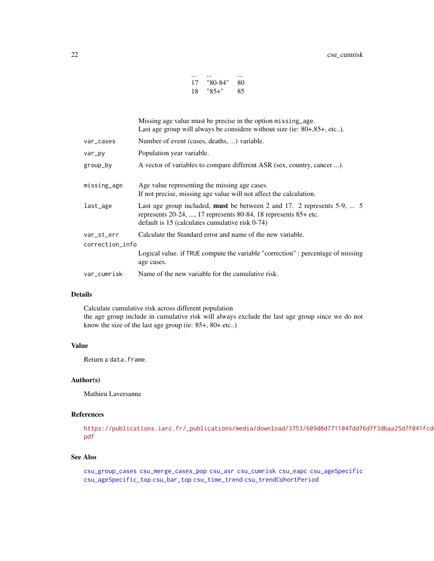| 17 | "80-84" | 80 |
|----|---------|----|
| 18 | "85+"   | 85 |

<span id="page-21-0"></span>

|                 | Missing age value must be precise in the option missing age.<br>Last age group will always be considere without size (ie: $80+,85+,$ etc).                                                                   |
|-----------------|--------------------------------------------------------------------------------------------------------------------------------------------------------------------------------------------------------------|
| var_cases       | Number of event (cases, deaths, ) variable.                                                                                                                                                                  |
| var_py          | Population year variable.                                                                                                                                                                                    |
| group_by        | A vector of variables to compare different ASR (sex, country, cancer ).                                                                                                                                      |
| missing_age     | Age value representing the missing age cases.<br>If not precise, missing age value will not affect the calculation.                                                                                          |
| last_age        | Last age group included, <b>must</b> be between 2 and 17. 2 represents $5-9$ ,  5<br>represents $20-24$ , , 17 represents 80-84, 18 represents $85+$ etc.<br>default is 15 (calculates cumulative risk 0-74) |
| var_st_err      | Calculate the Standard error and name of the new variable.                                                                                                                                                   |
| correction_info |                                                                                                                                                                                                              |
|                 | Logical value. if TRUE compute the variable "correction" : percentage of missing<br>age cases.                                                                                                               |
| var_cumrisk     | Name of the new variable for the cumulative risk.                                                                                                                                                            |
|                 |                                                                                                                                                                                                              |

# Details

Calculate cumulative risk across different population the age group include in cumulative risk will always exclude the last age group since we do not know the size of the last age group (ie: 85+, 80+ etc..)

#### Value

Return a data.frame.

#### Author(s)

Mathieu Laversanne

# References

[https://publications.iarc.fr/\\_publications/media/download/3753/609d0d7711047dd76](https://publications.iarc.fr/_publications/media/download/3753/609d0d7711047dd76d7f3dbaa25d7f041fcd013e.pdf)d7f3dbaa25d7f041fcd [pdf](https://publications.iarc.fr/_publications/media/download/3753/609d0d7711047dd76d7f3dbaa25d7f041fcd013e.pdf)

#### See Also

[csu\\_group\\_cases](#page-24-1) [csu\\_merge\\_cases\\_pop](#page-27-1) [csu\\_asr](#page-9-1) [csu\\_cumrisk](#page-20-1) [csu\\_eapc](#page-22-1) [csu\\_ageSpecific](#page-3-1) [csu\\_ageSpecific\\_top](#page-6-1) [csu\\_bar\\_top](#page-13-1) [csu\\_time\\_trend](#page-32-1) [csu\\_trendCohortPeriod](#page-34-1)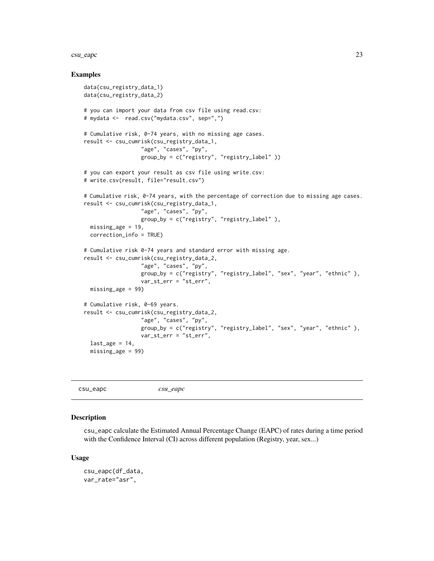#### <span id="page-22-0"></span>csu\_eapc 23

#### Examples

```
data(csu_registry_data_1)
data(csu_registry_data_2)
# you can import your data from csv file using read.csv:
# mydata <- read.csv("mydata.csv", sep=",")
# Cumulative risk, 0-74 years, with no missing age cases.
result <- csu_cumrisk(csu_registry_data_1,
                  "age", "cases", "py",
                  group_by = c("registry", "registry_label" ))
# you can export your result as csv file using write.csv:
# write.csv(result, file="result.csv")
# Cumulative risk, 0-74 years, with the percentage of correction due to missing age cases.
result <- csu_cumrisk(csu_registry_data_1,
                  "age", "cases", "py",
                  group_by = c("registry", "registry_label" ),
 missing_age = 19,
 correction_info = TRUE)
# Cumulative risk 0-74 years and standard error with missing age.
result <- csu_cumrisk(csu_registry_data_2,
                  "age", "cases", "py",
                  group_by = c("registry", "registry_label", "sex", "year", "ethnic" ),
                  var_st_err = "st_err",
 missing_age = 99)
# Cumulative risk, 0-69 years.
result <- csu_cumrisk(csu_registry_data_2,
                  "age", "cases", "py",
                  group_by = c("registry", "registry_label", "sex", "year", "ethnic" ),
                  var_st_err = "st_err",
 last_age = 14,missing_age = 99)
```

```
csu_eapc csu_eapc
```
#### Description

csu\_eapc calculate the Estimated Annual Percentage Change (EAPC) of rates during a time period with the Confidence Interval (CI) across different population (Registry, year, sex...)

#### Usage

```
csu_eapc(df_data,
var_rate="asr",
```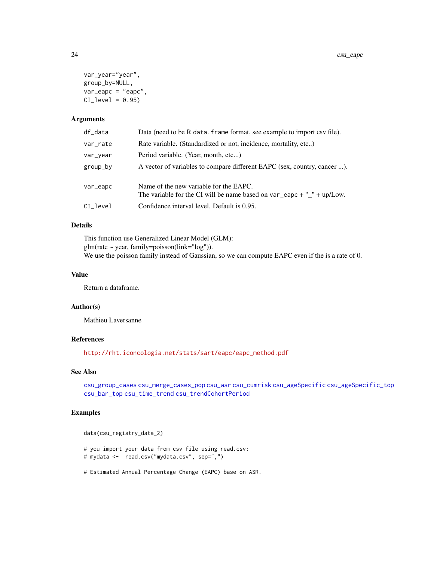```
var_year="year",
group_by=NULL,
var_eapc = "eapc",
CI\_level = 0.95
```
# Arguments

| df_data  | Data (need to be R data. frame format, see example to import csv file).                                               |
|----------|-----------------------------------------------------------------------------------------------------------------------|
| var_rate | Rate variable. (Standardized or not, incidence, mortality, etc)                                                       |
| var_year | Period variable. (Year, month, etc)                                                                                   |
| group_by | A vector of variables to compare different EAPC (sex, country, cancer ).                                              |
|          |                                                                                                                       |
| var_eapc | Name of the new variable for the EAPC.<br>The variable for the CI will be name based on $var_e$ –eapc + $"$ + up/Low. |
|          |                                                                                                                       |
| CI_level | Confidence interval level. Default is 0.95.                                                                           |

# Details

This function use Generalized Linear Model (GLM):  $glm(rate \sim year, family=poisson(link="log"))$ . We use the poisson family instead of Gaussian, so we can compute EAPC even if the is a rate of 0.

# Value

Return a dataframe.

#### Author(s)

Mathieu Laversanne

# References

[http://rht.iconcologia.net/stats/sart/eapc/eapc\\_method.pdf](http://rht.iconcologia.net/stats/sart/eapc/eapc_method.pdf)

# See Also

[csu\\_group\\_cases](#page-24-1) [csu\\_merge\\_cases\\_pop](#page-27-1) [csu\\_asr](#page-9-1) [csu\\_cumrisk](#page-20-1) [csu\\_ageSpecific](#page-3-1) [csu\\_ageSpecific\\_top](#page-6-1) [csu\\_bar\\_top](#page-13-1) [csu\\_time\\_trend](#page-32-1) [csu\\_trendCohortPeriod](#page-34-1)

```
data(csu_registry_data_2)
# you import your data from csv file using read.csv:
# mydata <- read.csv("mydata.csv", sep=",")
# Estimated Annual Percentage Change (EAPC) base on ASR.
```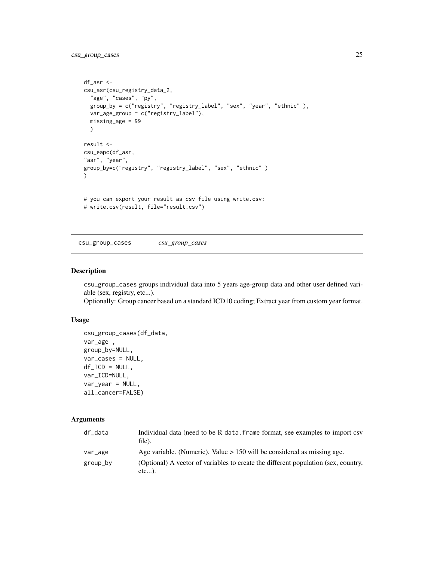```
df_asr <-
csu_asr(csu_registry_data_2,
  "age", "cases", "py",
  group_by = c("registry", "registry_label", "sex", "year", "ethnic" ),
  var_age_group = c("registry_label"),
  missing_age = 99
  )
result <-
csu_eapc(df_asr,
"asr", "year",
group_by=c("registry", "registry_label", "sex", "ethnic" )
)
# you can export your result as csv file using write.csv:
# write.csv(result, file="result.csv")
```
<span id="page-24-1"></span>csu\_group\_cases *csu\_group\_cases*

#### Description

csu\_group\_cases groups individual data into 5 years age-group data and other user defined variable (sex, registry, etc...).

Optionally: Group cancer based on a standard ICD10 coding; Extract year from custom year format.

# Usage

```
csu_group_cases(df_data,
var_age ,
group_by=NULL,
var_cases = NULL,
df\_ICD = NULL,var_ICD=NULL,
var_year = NULL,
all_cancer=FALSE)
```
#### Arguments

| df data  | Individual data (need to be R data, frame format, see examples to import csv<br>file).      |
|----------|---------------------------------------------------------------------------------------------|
| var_age  | Age variable. (Numeric). Value $> 150$ will be considered as missing age.                   |
| group_by | (Optional) A vector of variables to create the different population (sex, country,<br>etc). |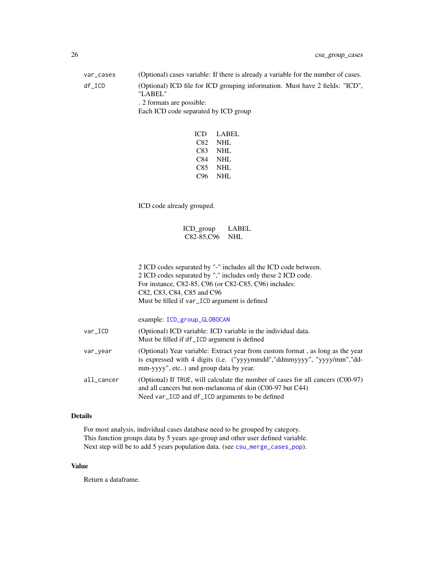<span id="page-25-0"></span>

| var_cases | (Optional) cases variable: If there is already a variable for the number of cases.                                                                           |  |
|-----------|--------------------------------------------------------------------------------------------------------------------------------------------------------------|--|
| df_ICD    | (Optional) ICD file for ICD grouping information. Must have 2 fields: "ICD",<br>"LABEL"<br>. 2 formats are possible:<br>Each ICD code separated by ICD group |  |
|           |                                                                                                                                                              |  |

| ICD | LABEL |
|-----|-------|
| C82 | NHL   |
| C83 | NHL   |
| C84 | NHL   |
| C85 | NHL   |
| C96 | NHL   |

ICD code already grouped.

# ICD\_group LABEL C82-85,C96 NHL

2 ICD codes separated by "-" includes all the ICD code between. 2 ICD codes separated by "," includes only these 2 ICD code. For instance, C82-85, C96 (or C82-C85, C96) includes: C82, C83, C84, C85 and C96 Must be filled if var\_ICD argument is defined

|            | example: ICD_group_GLOBOCAN                                                                                                                                                                         |
|------------|-----------------------------------------------------------------------------------------------------------------------------------------------------------------------------------------------------|
| var_ICD    | (Optional) ICD variable: ICD variable in the individual data.<br>Must be filled if df_ICD argument is defined                                                                                       |
| var_year   | (Optional) Year variable: Extract year from custom format, as long as the year<br>is expressed with 4 digits (i.e. ("yyyymmdd","ddmmyyyy", "yyyy/mm","dd-<br>mm-yyyy", etc) and group data by year. |
| all_cancer | (Optional) If TRUE, will calculate the number of cases for all cancers (C00-97)<br>and all cancers but non-melanoma of skin (C00-97 but C44)<br>Need var_ICD and df_ICD arguments to be defined     |

# Details

For most analysis, individual cases database need to be grouped by category. This function groups data by 5 years age-group and other user defined variable. Next step will be to add 5 years population data. (see [csu\\_merge\\_cases\\_pop](#page-27-1)).

# Value

Return a dataframe.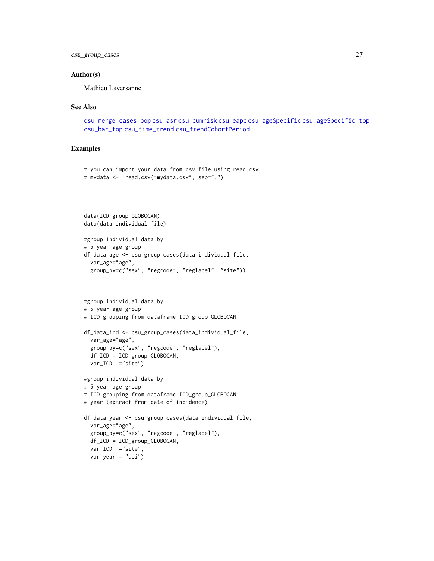# <span id="page-26-0"></span>csu\_group\_cases 27

#### Author(s)

Mathieu Laversanne

# See Also

```
csu_merge_cases_pop csu_asr csu_cumrisk csu_eapc csu_ageSpecific csu_ageSpecific_top
csu_bar_top csu_time_trend csu_trendCohortPeriod
```

```
# you can import your data from csv file using read.csv:
# mydata <- read.csv("mydata.csv", sep=",")
```

```
data(ICD_group_GLOBOCAN)
data(data_individual_file)
```

```
#group individual data by
# 5 year age group
df_data_age <- csu_group_cases(data_individual_file,
 var_age="age",
  group_by=c("sex", "regcode", "reglabel", "site"))
```

```
#group individual data by
# 5 year age group
# ICD grouping from dataframe ICD_group_GLOBOCAN
df_data_icd <- csu_group_cases(data_individual_file,
  var_age="age",
  group_by=c("sex", "regcode", "reglabel"),
  df_ICD = ICD_group_GLOBOCAN,
  var_ICD ="site")
```

```
#group individual data by
# 5 year age group
# ICD grouping from dataframe ICD_group_GLOBOCAN
# year (extract from date of incidence)
df_data_year <- csu_group_cases(data_individual_file,
  var_age="age",
  group_by=c("sex", "regcode", "reglabel"),
  df_ICD = ICD_group_GLOBOCAN,
  var_ICD ="site",
  var\_year = "doi")
```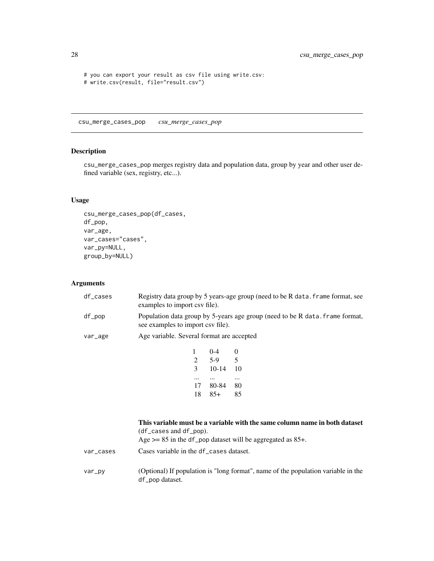```
# you can export your result as csv file using write.csv:
# write.csv(result, file="result.csv")
```
<span id="page-27-1"></span>csu\_merge\_cases\_pop *csu\_merge\_cases\_pop*

# Description

csu\_merge\_cases\_pop merges registry data and population data, group by year and other user defined variable (sex, registry, etc...).

# Usage

```
csu_merge_cases_pop(df_cases,
df_pop,
var_age,
var_cases="cases",
var_py=NULL,
group_by=NULL)
```
# Arguments

| df cases | examples to import csy file).             |         | Registry data group by 5 years-age group (need to be R data. frame format, see |
|----------|-------------------------------------------|---------|--------------------------------------------------------------------------------|
| df_pop   | see examples to import csv file).         |         | Population data group by 5-years age group (need to be R data, frame format,   |
| var_age  | Age variable. Several format are accepted |         |                                                                                |
|          |                                           | $0-4$ 0 |                                                                                |
|          |                                           | 5-9     | 5                                                                              |
|          |                                           | $10-14$ |                                                                                |

| 3  | 10-14 | 10 |
|----|-------|----|
|    |       |    |
| 17 | 80-84 | 80 |
| 18 | $85+$ | 85 |
|    |       |    |

|           | This variable must be a variable with the same column name in both dataset<br>$(df_{class}$ and $df_{pop}$ ).<br>Age $>= 85$ in the df_pop dataset will be aggregated as 85+. |
|-----------|-------------------------------------------------------------------------------------------------------------------------------------------------------------------------------|
| var_cases | Cases variable in the df cases dataset.                                                                                                                                       |
| var_py    | (Optional) If population is "long format", name of the population variable in the<br>df_pop dataset.                                                                          |

<span id="page-27-0"></span>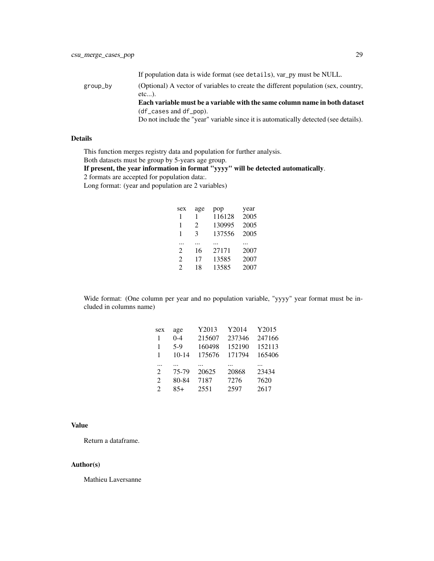If population data is wide format (see details), var\_py must be NULL.

group\_by (Optional) A vector of variables to create the different population (sex, country, etc...). Each variable must be a variable with the same column name in both dataset

(df\_cases and df\_pop).

Do not include the "year" variable since it is automatically detected (see details).

# Details

This function merges registry data and population for further analysis.

Both datasets must be group by 5-years age group.

If present, the year information in format "yyyy" will be detected automatically.

2 formats are accepted for population data:.

Long format: (year and population are 2 variables)

| sex            | age                   | pop    | year |
|----------------|-----------------------|--------|------|
| 1              | ı                     | 116128 | 2005 |
| 1              | $\mathcal{D}_{\cdot}$ | 130995 | 2005 |
| 1              | 3                     | 137556 | 2005 |
|                |                       |        |      |
| .              |                       |        |      |
| $\mathfrak{D}$ | 16                    | 27171  | 2007 |
| $\mathfrak{D}$ | 17                    | 13585  | 2007 |

Wide format: (One column per year and no population variable, "yyyy" year format must be included in columns name)

| sex                         | age       | Y2013  | Y2014  | Y2015  |
|-----------------------------|-----------|--------|--------|--------|
| -1                          | $0 - 4$   | 215607 | 237346 | 247166 |
| $\mathbf{1}$                | $5-9$     | 160498 | 152190 | 152113 |
| 1                           | $10 - 14$ | 175676 | 171794 | 165406 |
|                             |           |        |        |        |
|                             |           |        |        |        |
| $\mathcal{D}_{\mathcal{L}}$ | 75-79     | 20625  | 20868  | 23434  |
| 2                           | 80-84     | 7187   | 7276   | 7620   |

# Value

Return a dataframe.

# Author(s)

Mathieu Laversanne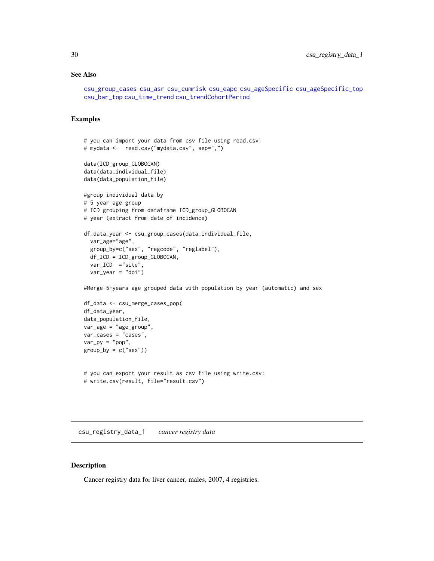# <span id="page-29-0"></span>See Also

```
csu_group_cases csu_asr csu_cumrisk csu_eapc csu_ageSpecific csu_ageSpecific_top
csu_bar_top csu_time_trend csu_trendCohortPeriod
```
#### Examples

```
# you can import your data from csv file using read.csv:
# mydata <- read.csv("mydata.csv", sep=",")
data(ICD_group_GLOBOCAN)
data(data_individual_file)
data(data_population_file)
#group individual data by
# 5 year age group
# ICD grouping from dataframe ICD_group_GLOBOCAN
# year (extract from date of incidence)
df_data_year <- csu_group_cases(data_individual_file,
  var_age="age",
  group_by=c("sex", "regcode", "reglabel"),
 df_ICD = ICD_group_GLOBOCAN,
  var_ICD ="site",
  var_year = "doi")
#Merge 5-years age grouped data with population by year (automatic) and sex
df_data <- csu_merge_cases_pop(
df_data_year,
data_population_file,
var_age = "age_group",
var_cases = "cases",
var_p y = "pop",group_by = c("sex"))# you can export your result as csv file using write.csv:
# write.csv(result, file="result.csv")
```
csu\_registry\_data\_1 *cancer registry data*

#### Description

Cancer registry data for liver cancer, males, 2007, 4 registries.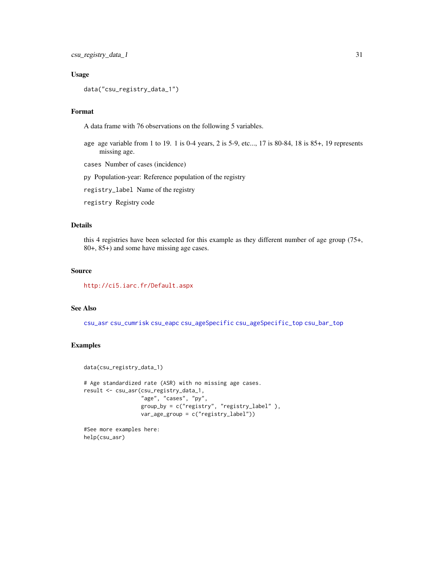#### Usage

```
data("csu_registry_data_1")
```
#### Format

A data frame with 76 observations on the following 5 variables.

age age variable from 1 to 19. 1 is 0-4 years, 2 is 5-9, etc..., 17 is 80-84, 18 is 85+, 19 represents missing age.

cases Number of cases (incidence)

py Population-year: Reference population of the registry

registry\_label Name of the registry

registry Registry code

# Details

this 4 registries have been selected for this example as they different number of age group (75+, 80+, 85+) and some have missing age cases.

#### Source

<http://ci5.iarc.fr/Default.aspx>

# See Also

[csu\\_asr](#page-9-1) [csu\\_cumrisk](#page-20-1) [csu\\_eapc](#page-22-1) [csu\\_ageSpecific](#page-3-1) [csu\\_ageSpecific\\_top](#page-6-1) [csu\\_bar\\_top](#page-13-1)

#### Examples

```
data(csu_registry_data_1)
# Age standardized rate (ASR) with no missing age cases.
result <- csu_asr(csu_registry_data_1,
                 "age", "cases", "py",
                 group_by = c("registry", "registry_label" ),
                 var_age_group = c("registry_label"))
```
#See more examples here: help(csu\_asr)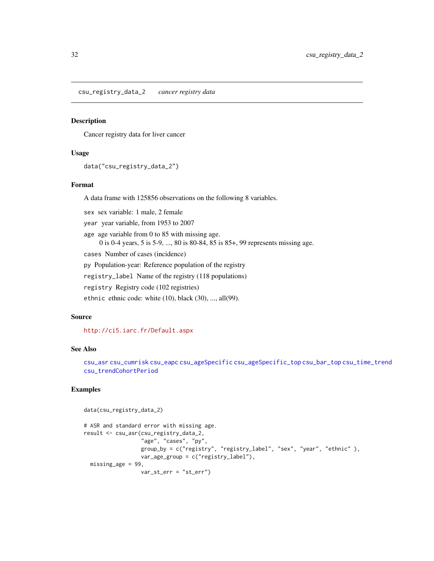<span id="page-31-0"></span>csu\_registry\_data\_2 *cancer registry data*

#### Description

Cancer registry data for liver cancer

#### Usage

```
data("csu_registry_data_2")
```
# Format

A data frame with 125856 observations on the following 8 variables.

sex sex variable: 1 male, 2 female

year year variable, from 1953 to 2007

age age variable from 0 to 85 with missing age. 0 is 0-4 years, 5 is 5-9, ..., 80 is 80-84, 85 is 85+, 99 represents missing age.

cases Number of cases (incidence)

py Population-year: Reference population of the registry

registry\_label Name of the registry (118 populations)

registry Registry code (102 registries)

ethnic ethnic code: white (10), black (30), ..., all(99).

# Source

<http://ci5.iarc.fr/Default.aspx>

# See Also

[csu\\_asr](#page-9-1) [csu\\_cumrisk](#page-20-1) [csu\\_eapc](#page-22-1) [csu\\_ageSpecific](#page-3-1) [csu\\_ageSpecific\\_top](#page-6-1) [csu\\_bar\\_top](#page-13-1) [csu\\_time\\_trend](#page-32-1) [csu\\_trendCohortPeriod](#page-34-1)

```
data(csu_registry_data_2)
# ASR and standard error with missing age.
result <- csu_asr(csu_registry_data_2,
                  "age", "cases", "py",
                  group_by = c("registry", "registry_label", "sex", "year", "ethnic" ),
                  var_age_group = c("registry_label"),
 missing_age = 99,
                 var_st_err = "st_err")
```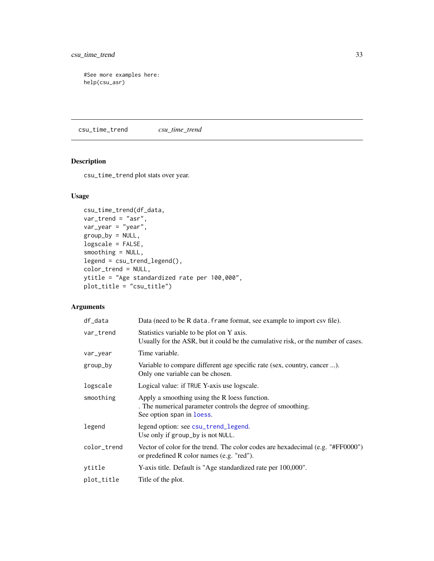<span id="page-32-0"></span>csu\_time\_trend 33

#See more examples here: help(csu\_asr)

<span id="page-32-1"></span>csu\_time\_trend *csu\_time\_trend*

# Description

csu\_time\_trend plot stats over year.

# Usage

```
csu_time_trend(df_data,
var_trend = "asr",
var_year = "year",
group_by = NULL,
logscale = FALSE,
smoothing = NULL,
legend = csu_trend_legend(),
color_trend = NULL,
ytitle = "Age standardized rate per 100,000",
plot_title = "csu_title")
```
# Arguments

| df_data     | Data (need to be R data, frame format, see example to import csv file).                                                                   |
|-------------|-------------------------------------------------------------------------------------------------------------------------------------------|
| var_trend   | Statistics variable to be plot on Y axis.<br>Usually for the ASR, but it could be the cumulative risk, or the number of cases.            |
| var_year    | Time variable.                                                                                                                            |
| group_by    | Variable to compare different age specific rate (sex, country, cancer ).<br>Only one variable can be chosen.                              |
| logscale    | Logical value: if TRUE Y-axis use logscale.                                                                                               |
| smoothing   | Apply a smoothing using the R loess function.<br>. The numerical parameter controls the degree of smoothing.<br>See option span in loess. |
| legend      | legend option: see csu_trend_legend.<br>Use only if group_by is not NULL.                                                                 |
| color_trend | Vector of color for the trend. The color codes are hexadecimal (e.g. "#FF0000")<br>or predefined R color names (e.g. "red").              |
| ytitle      | Y-axis title. Default is "Age standardized rate per 100,000".                                                                             |
| plot_title  | Title of the plot.                                                                                                                        |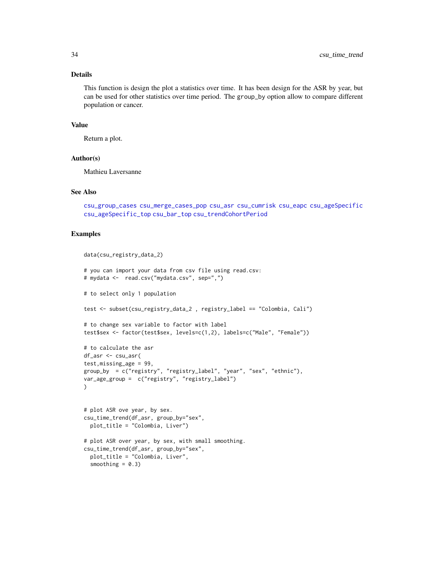#### <span id="page-33-0"></span>Details

This function is design the plot a statistics over time. It has been design for the ASR by year, but can be used for other statistics over time period. The group\_by option allow to compare different population or cancer.

# Value

Return a plot.

#### Author(s)

Mathieu Laversanne

# See Also

[csu\\_group\\_cases](#page-24-1) [csu\\_merge\\_cases\\_pop](#page-27-1) [csu\\_asr](#page-9-1) [csu\\_cumrisk](#page-20-1) [csu\\_eapc](#page-22-1) [csu\\_ageSpecific](#page-3-1) [csu\\_ageSpecific\\_top](#page-6-1) [csu\\_bar\\_top](#page-13-1) [csu\\_trendCohortPeriod](#page-34-1)

```
data(csu_registry_data_2)
# you can import your data from csv file using read.csv:
# mydata <- read.csv("mydata.csv", sep=",")
# to select only 1 population
test <- subset(csu_registry_data_2 , registry_label == "Colombia, Cali")
# to change sex variable to factor with label
test$sex <- factor(test$sex, levels=c(1,2), labels=c("Male", "Female"))
# to calculate the asr
df_asr <- csu_asr(
test,missing_age = 99,
group_by = c("registry", "registry_label", "year", "sex", "ethnic"),
var_age_group = c("registry", "registry_label")
\lambda# plot ASR ove year, by sex.
csu_time_trend(df_asr, group_by="sex",
  plot_title = "Colombia, Liver")
# plot ASR over year, by sex, with small smoothing.
csu_time_trend(df_asr, group_by="sex",
  plot_title = "Colombia, Liver",
  smoothing = 0.3)
```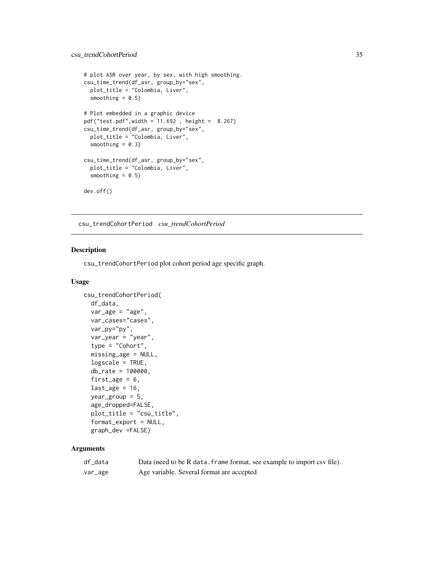```
# plot ASR over year, by sex, with high smoothing.
csu_time_trend(df_asr, group_by="sex",
  plot_title = "Colombia, Liver",
  smoothing = 0.5)
# Plot embedded in a graphic device
pdf("test.pdf",width = 11.692 , height = 8.267)
csu_time_trend(df_asr, group_by="sex",
  plot_title = "Colombia, Liver",
  smoothing = 0.3)
csu_time_trend(df_asr, group_by="sex",
  plot_title = "Colombia, Liver",
  smoothing = 0.5)
dev.off()
```
<span id="page-34-1"></span>csu\_trendCohortPeriod *csu\_trendCohortPeriod*

# Description

csu\_trendCohortPeriod plot cohort period age specific graph.

#### Usage

```
csu_trendCohortPeriod(
  df_data,
  var_{age} = "age",
  var_cases="cases",
  var_py="py",
  var_year = "year",
  type = "Cohort",
  missing_age = NULL,
  logscale = TRUE,
  db_rate = 100000,
  first_age = 6,
  last_age = 16,
  year_group = 5,
  age_dropped=FALSE,
  plot_title = "csu_title",
  format_export = NULL,
  graph_dev =FALSE)
```
#### Arguments

| df_data | Data (need to be R data. frame format, see example to import csv file). |
|---------|-------------------------------------------------------------------------|
| var_age | Age variable. Several format are accepted                               |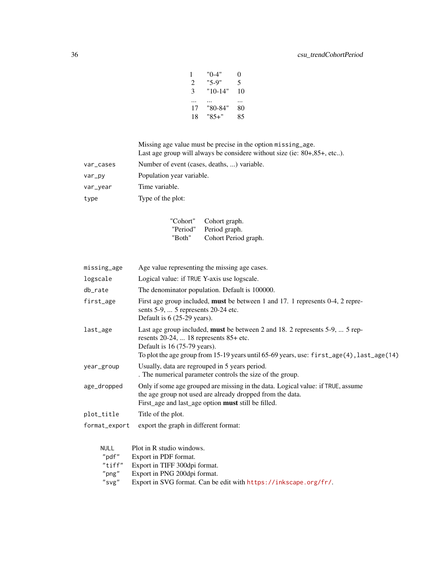| 1  | "0-4"     | $_{0}$ |
|----|-----------|--------|
| 2  | $"5-9"$   | 5      |
| 3  | $"10-14"$ | 10     |
|    |           |        |
| 17 | "80-84"   | 80     |
| 18 | "85+"     | 85     |

Missing age value must be precise in the option missing\_age. Last age group will always be considere without size (ie: 80+,85+, etc..).

| var_cases | Number of event (cases, deaths, ) variable. |
|-----------|---------------------------------------------|
| var_py    | Population year variable.                   |
| var_year  | Time variable.                              |
| type      | Type of the plot:                           |
|           |                                             |

| "Cohort" | Cohort graph.        |
|----------|----------------------|
| "Period" | Period graph.        |
| "Both"   | Cohort Period graph. |

| missing_age                                            | Age value representing the missing age cases.                                                                                                                                                                                                                                      |
|--------------------------------------------------------|------------------------------------------------------------------------------------------------------------------------------------------------------------------------------------------------------------------------------------------------------------------------------------|
| logscale                                               | Logical value: if TRUE Y-axis use logscale.                                                                                                                                                                                                                                        |
| db_rate                                                | The denominator population. Default is 100000.                                                                                                                                                                                                                                     |
| first_age                                              | First age group included, must be between 1 and 17. 1 represents 0-4, 2 repre-<br>sents $5-9$ ,  5 represents $20-24$ etc.<br>Default is 6 (25-29 years).                                                                                                                          |
| last_age                                               | Last age group included, must be between 2 and 18. 2 represents 5-9,  5 rep-<br>resents 20-24,  18 represents 85+ etc.<br>Default is $16(75-79 \text{ years})$ .<br>To plot the age group from 15-19 years until 65-69 years, use: $first\_\text{age}(4)$ , $last\_\text{age}(14)$ |
| year_group                                             | Usually, data are regrouped in 5 years period.<br>. The numerical parameter controls the size of the group.                                                                                                                                                                        |
| age_dropped                                            | Only if some age grouped are missing in the data. Logical value: if TRUE, assume<br>the age group not used are already dropped from the data.<br>First_age and last_age option must still be filled.                                                                               |
| plot_title                                             | Title of the plot.                                                                                                                                                                                                                                                                 |
| format_export                                          | export the graph in different format:                                                                                                                                                                                                                                              |
| <b>NULL</b><br>"pdf"<br>"tiff"<br>$"$ png"<br>$"$ svg" | Plot in R studio windows.<br>Export in PDF format.<br>Export in TIFF 300dpi format.<br>Export in PNG 200dpi format.<br>Export in SVG format. Can be edit with https://inkscape.org/fr/.                                                                                            |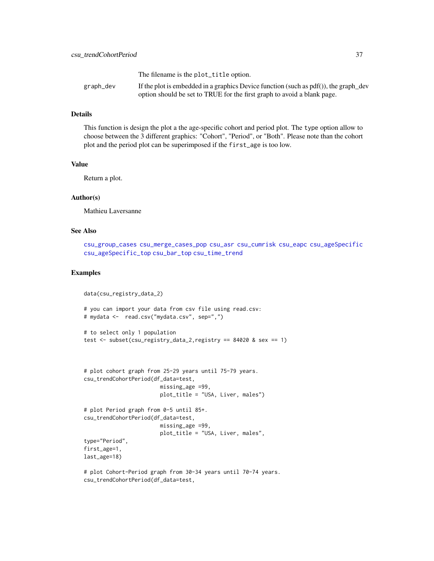<span id="page-36-0"></span>

|           | The filename is the plot_title option.                                                  |
|-----------|-----------------------------------------------------------------------------------------|
| graph_dev | If the plot is embedded in a graphics Device function (such as $pdf()$ ), the graph_dev |
|           | option should be set to TRUE for the first graph to avoid a blank page.                 |

#### Details

This function is design the plot a the age-specific cohort and period plot. The type option allow to choose between the 3 different graphics: "Cohort", "Period", or "Both". Please note than the cohort plot and the period plot can be superimposed if the first\_age is too low.

#### Value

Return a plot.

# Author(s)

Mathieu Laversanne

# See Also

[csu\\_group\\_cases](#page-24-1) [csu\\_merge\\_cases\\_pop](#page-27-1) [csu\\_asr](#page-9-1) [csu\\_cumrisk](#page-20-1) [csu\\_eapc](#page-22-1) [csu\\_ageSpecific](#page-3-1) [csu\\_ageSpecific\\_top](#page-6-1) [csu\\_bar\\_top](#page-13-1) [csu\\_time\\_trend](#page-32-1)

```
data(csu_registry_data_2)
# you can import your data from csv file using read.csv:
# mydata <- read.csv("mydata.csv", sep=",")
# to select only 1 population
test <- subset(csu_registry_data_2,registry == 84020 & sex == 1)
# plot cohort graph from 25-29 years until 75-79 years.
csu_trendCohortPeriod(df_data=test,
                        missing_age =99,
                        plot_title = "USA, Liver, males")
# plot Period graph from 0-5 until 85+.
csu_trendCohortPeriod(df_data=test,
                        missing_age =99,
                        plot_title = "USA, Liver, males",
type="Period",
first_age=1,
last_age=18)
# plot Cohort-Period graph from 30-34 years until 70-74 years.
```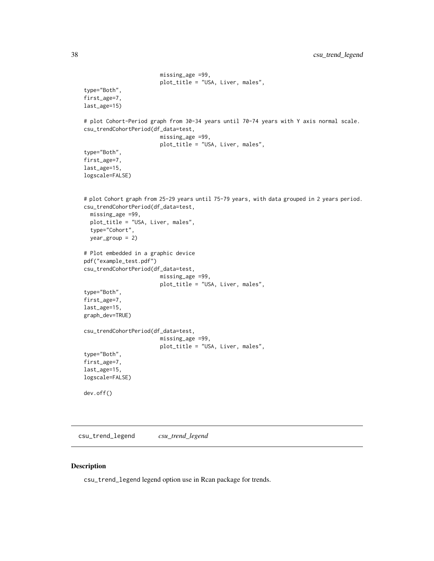```
missing_age =99,
                        plot_title = "USA, Liver, males",
type="Both",
first_age=7,
last_age=15)
# plot Cohort-Period graph from 30-34 years until 70-74 years with Y axis normal scale.
csu_trendCohortPeriod(df_data=test,
                        missing_age =99,
                        plot_title = "USA, Liver, males",
type="Both",
first_age=7,
last_age=15,
logscale=FALSE)
# plot Cohort graph from 25-29 years until 75-79 years, with data grouped in 2 years period.
csu_trendCohortPeriod(df_data=test,
  missing_age =99,
  plot_title = "USA, Liver, males",
  type="Cohort",
  year_group = 2)
# Plot embedded in a graphic device
pdf("example_test.pdf")
csu_trendCohortPeriod(df_data=test,
                        missing_age =99,
                        plot_title = "USA, Liver, males",
type="Both",
first_age=7,
last_age=15,
graph_dev=TRUE)
csu_trendCohortPeriod(df_data=test,
                        missing_age =99,
                        plot_title = "USA, Liver, males",
type="Both",
first_age=7,
last_age=15,
logscale=FALSE)
dev.off()
```
<span id="page-37-1"></span>csu\_trend\_legend *csu\_trend\_legend*

#### Description

csu\_trend\_legend legend option use in Rcan package for trends.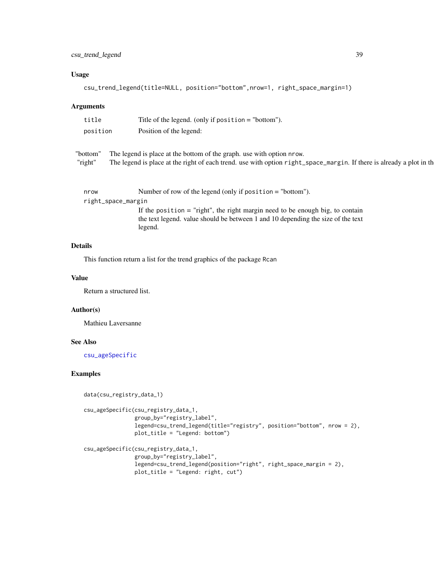# <span id="page-38-0"></span>Usage

```
csu_trend_legend(title=NULL, position="bottom",nrow=1, right_space_margin=1)
```
# Arguments

| title               | Title of the legend. (only if position $=$ "bottom").                                                                                                                                         |
|---------------------|-----------------------------------------------------------------------------------------------------------------------------------------------------------------------------------------------|
| position            | Position of the legend:                                                                                                                                                                       |
| "bottom"<br>"right" | The legend is place at the bottom of the graph. use with option nrow.<br>The legend is place at the right of each trend. use with option right_space_margin. If there is already a plot in th |
| nrow                | Number of row of the legend (only if position $=$ "bottom").                                                                                                                                  |
|                     | right_space_margin                                                                                                                                                                            |
|                     | If the position $=$ "right", the right margin need to be enough big, to contain                                                                                                               |
|                     | the text legend. value should be between 1 and 10 depending the size of the text                                                                                                              |

# Details

This function return a list for the trend graphics of the package Rcan

legend.

# Value

Return a structured list.

#### Author(s)

Mathieu Laversanne

### See Also

[csu\\_ageSpecific](#page-3-1)

```
data(csu_registry_data_1)
csu_ageSpecific(csu_registry_data_1,
                group_by="registry_label",
                legend=csu_trend_legend(title="registry", position="bottom", nrow = 2),
                plot_title = "Legend: bottom")
csu_ageSpecific(csu_registry_data_1,
                group_by="registry_label",
                legend=csu_trend_legend(position="right", right_space_margin = 2),
                plot_title = "Legend: right, cut")
```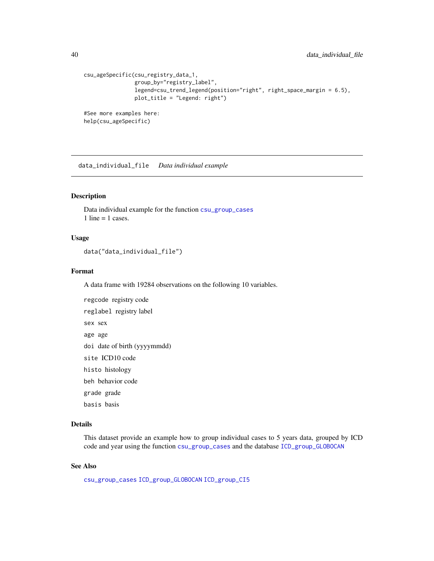```
csu_ageSpecific(csu_registry_data_1,
                group_by="registry_label",
                legend=csu_trend_legend(position="right", right_space_margin = 6.5),
                plot_title = "Legend: right")
#See more examples here:
help(csu_ageSpecific)
```
data\_individual\_file *Data individual example*

#### Description

Data individual example for the function [csu\\_group\\_cases](#page-24-1) 1 line  $=$  1 cases.

# Usage

data("data\_individual\_file")

#### Format

A data frame with 19284 observations on the following 10 variables.

```
regcode registry code
reglabel registry label
sex sex
age age
doi date of birth (yyyymmdd)
site ICD10 code
histo histology
beh behavior code
grade grade
basis basis
```
# Details

This dataset provide an example how to group individual cases to 5 years data, grouped by ICD code and year using the function [csu\\_group\\_cases](#page-24-1) and the database [ICD\\_group\\_GLOBOCAN](#page-42-1)

# See Also

[csu\\_group\\_cases](#page-24-1) [ICD\\_group\\_GLOBOCAN](#page-42-1) [ICD\\_group\\_CI5](#page-41-1)

<span id="page-39-0"></span>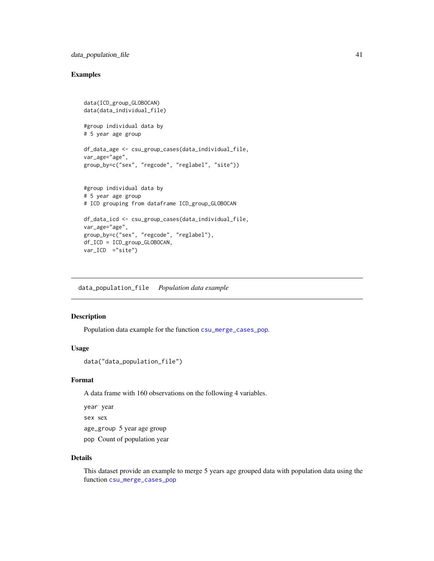# <span id="page-40-0"></span>data\_population\_file 41

# Examples

```
data(ICD_group_GLOBOCAN)
data(data_individual_file)
#group individual data by
# 5 year age group
df_data_age <- csu_group_cases(data_individual_file,
var_age="age",
group_by=c("sex", "regcode", "reglabel", "site"))
#group individual data by
# 5 year age group
# ICD grouping from dataframe ICD_group_GLOBOCAN
df_data_icd <- csu_group_cases(data_individual_file,
var_age="age",
group_by=c("sex", "regcode", "reglabel"),
df_ICD = ICD_group_GLOBOCAN,
var_ICD = "site")
```
data\_population\_file *Population data example*

# Description

Population data example for the function [csu\\_merge\\_cases\\_pop](#page-27-1).

# Usage

```
data("data_population_file")
```
# Format

A data frame with 160 observations on the following 4 variables.

year year sex sex age\_group 5 year age group pop Count of population year

#### Details

This dataset provide an example to merge 5 years age grouped data with population data using the function [csu\\_merge\\_cases\\_pop](#page-27-1)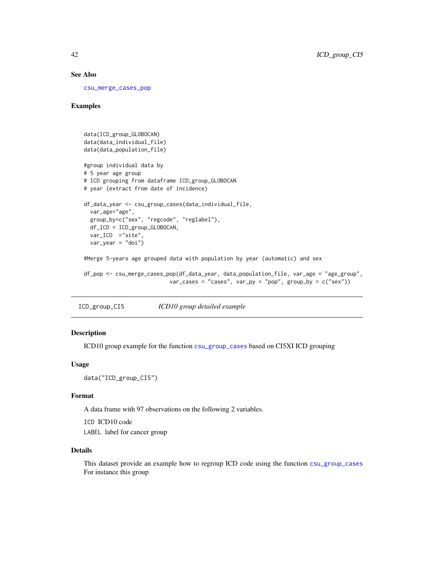#### See Also

[csu\\_merge\\_cases\\_pop](#page-27-1)

# Examples

```
data(ICD_group_GLOBOCAN)
data(data_individual_file)
data(data_population_file)
#group individual data by
# 5 year age group
# ICD grouping from dataframe ICD_group_GLOBOCAN
# year (extract from date of incidence)
df_data_year <- csu_group_cases(data_individual_file,
  var_age="age",
  group_by=c("sex", "regcode", "reglabel"),
  df_ICD = ICD_group_GLOBOCAN,
  var_ICD ="site",
  var\_year = "doi")#Merge 5-years age grouped data with population by year (automatic) and sex
df_pop <- csu_merge_cases_pop(df_data_year, data_population_file, var_age = "age_group",
                           var\_cases = "cases", var\_py = "pop", group\_by = c("sex"))
```
<span id="page-41-1"></span>ICD\_group\_CI5 *ICD10 group detailed example*

## Description

ICD10 group example for the function [csu\\_group\\_cases](#page-24-1) based on CI5XI ICD grouping

#### Usage

```
data("ICD_group_CI5")
```
#### Format

A data frame with 97 observations on the following 2 variables.

ICD ICD10 code LABEL label for cancer group

#### Details

This dataset provide an example how to regroup ICD code using the function [csu\\_group\\_cases](#page-24-1) For instance this group

<span id="page-41-0"></span>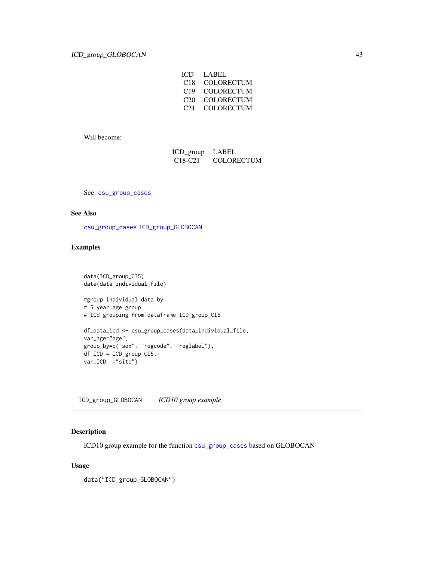| ICD             | LABEL             |
|-----------------|-------------------|
| C <sub>18</sub> | <b>COLORECTUM</b> |
| C19             | COLORECTUM        |
| C20             | <b>COLORECTUM</b> |
| C21             | COLORECTUM        |

<span id="page-42-0"></span>Will become:

| ICD_group                        | LABEL             |
|----------------------------------|-------------------|
| C <sub>18</sub> -C <sub>21</sub> | <b>COLORECTUM</b> |

See: [csu\\_group\\_cases](#page-24-1)

#### See Also

[csu\\_group\\_cases](#page-24-1) [ICD\\_group\\_GLOBOCAN](#page-42-1)

# Examples

```
data(ICD_group_CI5)
data(data_individual_file)
#group individual data by
# 5 year age group
# ICd grouping from dataframe ICD_group_CI5
df_data_icd <- csu_group_cases(data_individual_file,
var_age="age",
group_by=c("sex", "regcode", "reglabel"),
df_ICD = ICD_group_CI5,
var_ICD ="site")
```
<span id="page-42-1"></span>ICD\_group\_GLOBOCAN *ICD10 group example*

# Description

ICD10 group example for the function [csu\\_group\\_cases](#page-24-1) based on GLOBOCAN

# Usage

data("ICD\_group\_GLOBOCAN")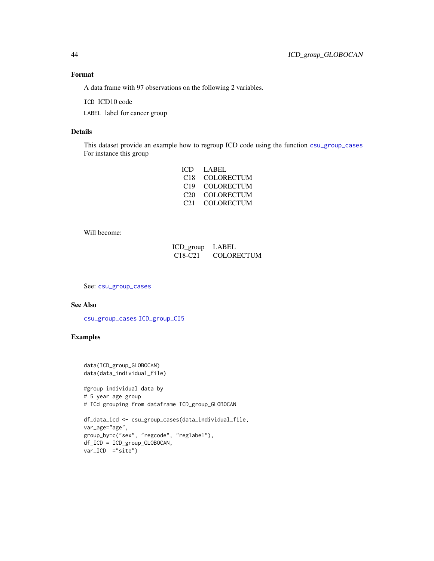# Format

A data frame with 97 observations on the following 2 variables.

ICD ICD10 code

LABEL label for cancer group

# Details

This dataset provide an example how to regroup ICD code using the function [csu\\_group\\_cases](#page-24-1) For instance this group

| LABEL      |
|------------|
| COLORECTUM |
| COLORECTUM |
| COLORECTUM |
| COLORECTUM |
|            |

Will become:

| ICD group LABEL                  |                   |
|----------------------------------|-------------------|
| C <sub>18</sub> -C <sub>21</sub> | <b>COLORECTUM</b> |

See: [csu\\_group\\_cases](#page-24-1)

# See Also

[csu\\_group\\_cases](#page-24-1) [ICD\\_group\\_CI5](#page-41-1)

# Examples

data(ICD\_group\_GLOBOCAN) data(data\_individual\_file)

#group individual data by # 5 year age group # ICd grouping from dataframe ICD\_group\_GLOBOCAN

```
df_data_icd <- csu_group_cases(data_individual_file,
var_age="age",
group_by=c("sex", "regcode", "reglabel"),
df_ICD = ICD_group_GLOBOCAN,
var_ICD ="site")
```
<span id="page-43-0"></span>